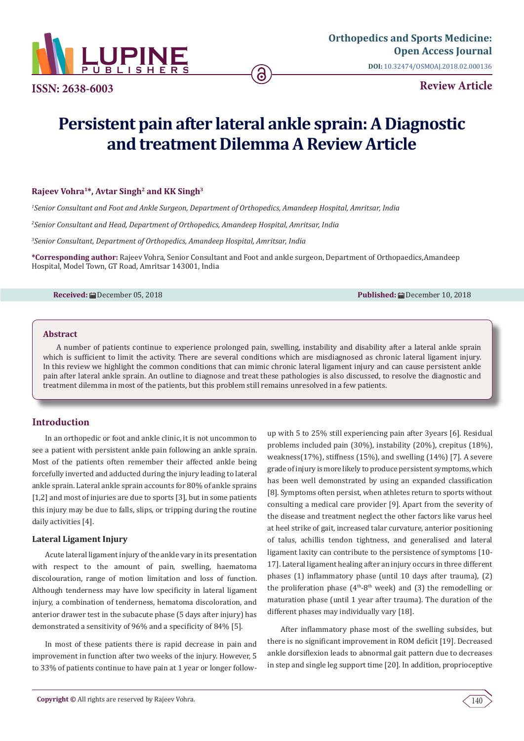

**Review Article ISSN: 2638-6003**

# **Persistent pain after lateral ankle sprain: A Diagnostic and treatment Dilemma A Review Article**

# **Rajeev Vohra1\*, Avtar Singh2 and KK Singh3**

*1 Senior Consultant and Foot and Ankle Surgeon, Department of Orthopedics, Amandeep Hospital, Amritsar, India*

*2 Senior Consultant and Head, Department of Orthopedics, Amandeep Hospital, Amritsar, India*

*3 Senior Consultant, Department of Orthopedics, Amandeep Hospital, Amritsar, India*

**\*Corresponding author:** Rajeev Vohra, Senior Consultant and Foot and ankle surgeon, Department of Orthopaedics,Amandeep Hospital, Model Town, GT Road, Amritsar 143001, India

**Received:** December 05, 2018 **Published:** December 10, 2018

### **Abstract**

A number of patients continue to experience prolonged pain, swelling, instability and disability after a lateral ankle sprain which is sufficient to limit the activity. There are several conditions which are misdiagnosed as chronic lateral ligament injury. In this review we highlight the common conditions that can mimic chronic lateral ligament injury and can cause persistent ankle pain after lateral ankle sprain. An outline to diagnose and treat these pathologies is also discussed, to resolve the diagnostic and treatment dilemma in most of the patients, but this problem still remains unresolved in a few patients.

# **Introduction**

In an orthopedic or foot and ankle clinic, it is not uncommon to see a patient with persistent ankle pain following an ankle sprain. Most of the patients often remember their affected ankle being forcefully inverted and adducted during the injury leading to lateral ankle sprain. Lateral ankle sprain accounts for 80% of ankle sprains [1,2] and most of injuries are due to sports [3], but in some patients this injury may be due to falls, slips, or tripping during the routine daily activities [4].

### **Lateral Ligament Injury**

Acute lateral ligament injury of the ankle vary in its presentation with respect to the amount of pain, swelling, haematoma discolouration, range of motion limitation and loss of function. Although tenderness may have low specificity in lateral ligament injury, a combination of tenderness, hematoma discoloration, and anterior drawer test in the subacute phase (5 days after injury) has demonstrated a sensitivity of 96% and a specificity of 84% [5].

In most of these patients there is rapid decrease in pain and improvement in function after two weeks of the injury. However, 5 to 33% of patients continue to have pain at 1 year or longer followup with 5 to 25% still experiencing pain after 3years [6]. Residual problems included pain (30%), instability (20%), crepitus (18%), weakness(17%), stiffness (15%), and swelling (14%) [7]. A severe grade of injury is more likely to produce persistent symptoms, which has been well demonstrated by using an expanded classification [8]. Symptoms often persist, when athletes return to sports without consulting a medical care provider [9]. Apart from the severity of the disease and treatment neglect the other factors like varus heel at heel strike of gait, increased talar curvature, anterior positioning of talus, achillis tendon tightness, and generalised and lateral ligament laxity can contribute to the persistence of symptoms [10- 17]. Lateral ligament healing after an injury occurs in three different phases (1) inflammatory phase (until 10 days after trauma), (2) the proliferation phase  $(4<sup>th</sup>-8<sup>th</sup>$  week) and (3) the remodelling or maturation phase (until 1 year after trauma). The duration of the different phases may individually vary [18].

After inflammatory phase most of the swelling subsides, but there is no significant improvement in ROM deficit [19]. Decreased ankle dorsiflexion leads to abnormal gait pattern due to decreases in step and single leg support time [20]. In addition, proprioceptive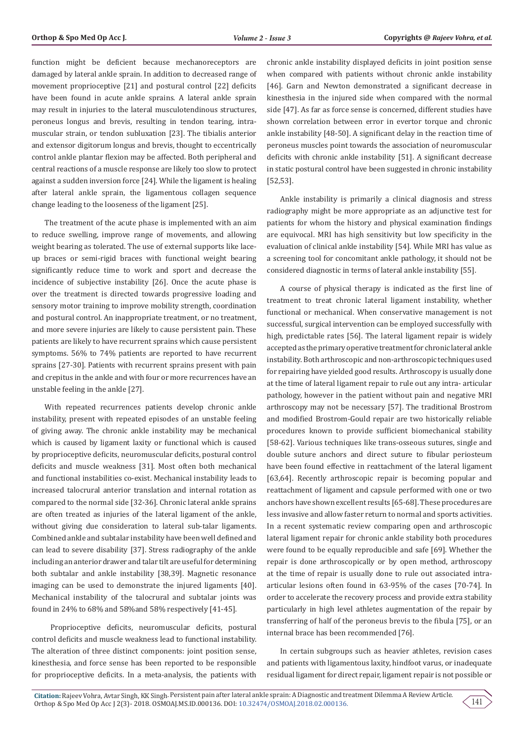function might be deficient because mechanoreceptors are damaged by lateral ankle sprain. In addition to decreased range of movement proprioceptive [21] and postural control [22] deficits have been found in acute ankle sprains. A lateral ankle sprain may result in injuries to the lateral musculotendinous structures, peroneus longus and brevis, resulting in tendon tearing, intramuscular strain, or tendon subluxation [23]. The tibialis anterior and extensor digitorum longus and brevis, thought to eccentrically control ankle plantar flexion may be affected. Both peripheral and central reactions of a muscle response are likely too slow to protect against a sudden inversion force [24]. While the ligament is healing after lateral ankle sprain, the ligamentous collagen sequence change leading to the looseness of the ligament [25].

The treatment of the acute phase is implemented with an aim to reduce swelling, improve range of movements, and allowing weight bearing as tolerated. The use of external supports like laceup braces or semi-rigid braces with functional weight bearing significantly reduce time to work and sport and decrease the incidence of subjective instability [26]. Once the acute phase is over the treatment is directed towards progressive loading and sensory motor training to improve mobility strength, coordination and postural control. An inappropriate treatment, or no treatment, and more severe injuries are likely to cause persistent pain. These patients are likely to have recurrent sprains which cause persistent symptoms. 56% to 74% patients are reported to have recurrent sprains [27-30]. Patients with recurrent sprains present with pain and crepitus in the ankle and with four or more recurrences have an unstable feeling in the ankle [27].

With repeated recurrences patients develop chronic ankle instability, present with repeated episodes of an unstable feeling of giving away. The chronic ankle instability may be mechanical which is caused by ligament laxity or functional which is caused by proprioceptive deficits, neuromuscular deficits, postural control deficits and muscle weakness [31]. Most often both mechanical and functional instabilities co-exist. Mechanical instability leads to increased talocrural anterior translation and internal rotation as compared to the normal side [32-36]. Chronic lateral ankle sprains are often treated as injuries of the lateral ligament of the ankle, without giving due consideration to lateral sub-talar ligaments. Combined ankle and subtalar instability have been well defined and can lead to severe disability [37]. Stress radiography of the ankle including an anterior drawer and talar tilt are useful for determining both subtalar and ankle instability [38,39]. Magnetic resonance imaging can be used to demonstrate the injured ligaments [40]. Mechanical instability of the talocrural and subtalar joints was found in 24% to 68% and 58%and 58% respectively [41-45].

 Proprioceptive deficits, neuromuscular deficits, postural control deficits and muscle weakness lead to functional instability. The alteration of three distinct components: joint position sense, kinesthesia, and force sense has been reported to be responsible for proprioceptive deficits. In a meta-analysis, the patients with

chronic ankle instability displayed deficits in joint position sense when compared with patients without chronic ankle instability [46]. Garn and Newton demonstrated a significant decrease in kinesthesia in the injured side when compared with the normal side [47]. As far as force sense is concerned, different studies have shown correlation between error in evertor torque and chronic ankle instability [48-50]. A significant delay in the reaction time of peroneus muscles point towards the association of neuromuscular deficits with chronic ankle instability [51]. A significant decrease in static postural control have been suggested in chronic instability [52,53].

Ankle instability is primarily a clinical diagnosis and stress radiography might be more appropriate as an adjunctive test for patients for whom the history and physical examination findings are equivocal. MRI has high sensitivity but low specificity in the evaluation of clinical ankle instability [54]. While MRI has value as a screening tool for concomitant ankle pathology, it should not be considered diagnostic in terms of lateral ankle instability [55].

A course of physical therapy is indicated as the first line of treatment to treat chronic lateral ligament instability, whether functional or mechanical. When conservative management is not successful, surgical intervention can be employed successfully with high, predictable rates [56]. The lateral ligament repair is widely accepted as the primary operative treatment for chronic lateral ankle instability. Both arthroscopic and non-arthroscopic techniques used for repairing have yielded good results. Arthroscopy is usually done at the time of lateral ligament repair to rule out any intra- articular pathology, however in the patient without pain and negative MRI arthroscopy may not be necessary [57]. The traditional Brostrom and modified Brostrom-Gould repair are two historically reliable procedures known to provide sufficient biomechanical stability [58-62]. Various techniques like trans-osseous sutures, single and double suture anchors and direct suture to fibular periosteum have been found effective in reattachment of the lateral ligament [63,64]. Recently arthroscopic repair is becoming popular and reattachment of ligament and capsule performed with one or two anchors have shown excellent results [65-68]. These procedures are less invasive and allow faster return to normal and sports activities. In a recent systematic review comparing open and arthroscopic lateral ligament repair for chronic ankle stability both procedures were found to be equally reproducible and safe [69]. Whether the repair is done arthroscopically or by open method, arthroscopy at the time of repair is usually done to rule out associated intraarticular lesions often found in 63-95% of the cases [70-74]. In order to accelerate the recovery process and provide extra stability particularly in high level athletes augmentation of the repair by transferring of half of the peroneus brevis to the fibula [75], or an internal brace has been recommended [76].

In certain subgroups such as heavier athletes, revision cases and patients with ligamentous laxity, hindfoot varus, or inadequate residual ligament for direct repair, ligament repair is not possible or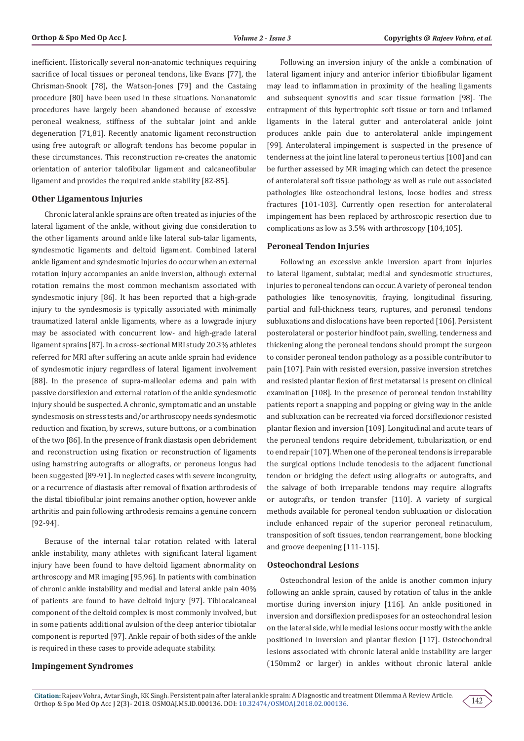inefficient. Historically several non-anatomic techniques requiring sacrifice of local tissues or peroneal tendons, like Evans [77], the Chrisman-Snook [78], the Watson-Jones [79] and the Castaing procedure [80] have been used in these situations. Nonanatomic procedures have largely been abandoned because of excessive peroneal weakness, stiffness of the subtalar joint and ankle degeneration [71,81]. Recently anatomic ligament reconstruction using free autograft or allograft tendons has become popular in these circumstances. This reconstruction re-creates the anatomic orientation of anterior talofibular ligament and calcaneofibular ligament and provides the required ankle stability [82-85].

#### **Other Ligamentous Injuries**

Chronic lateral ankle sprains are often treated as injuries of the lateral ligament of the ankle, without giving due consideration to the other ligaments around ankle like lateral sub-talar ligaments, syndesmotic ligaments and deltoid ligament. Combined lateral ankle ligament and syndesmotic Injuries do occur when an external rotation injury accompanies an ankle inversion, although external rotation remains the most common mechanism associated with syndesmotic injury [86]. It has been reported that a high-grade injury to the syndesmosis is typically associated with minimally traumatized lateral ankle ligaments, where as a lowgrade injury may be associated with concurrent low- and high-grade lateral ligament sprains [87]. In a cross-sectional MRI study 20.3% athletes referred for MRI after suffering an acute ankle sprain had evidence of syndesmotic injury regardless of lateral ligament involvement [88]. In the presence of supra-malleolar edema and pain with passive dorsiflexion and external rotation of the ankle syndesmotic injury should be suspected. A chronic, symptomatic and an unstable syndesmosis on stress tests and/or arthroscopy needs syndesmotic reduction and fixation, by screws, suture buttons, or a combination of the two [86]. In the presence of frank diastasis open debridement and reconstruction using fixation or reconstruction of ligaments using hamstring autografts or allografts, or peroneus longus had been suggested [89-91]. In neglected cases with severe incongruity, or a recurrence of diastasis after removal of fixation arthrodesis of the distal tibiofibular joint remains another option, however ankle arthritis and pain following arthrodesis remains a genuine concern [92-94].

Because of the internal talar rotation related with lateral ankle instability, many athletes with significant lateral ligament injury have been found to have deltoid ligament abnormality on arthroscopy and MR imaging [95,96]. In patients with combination of chronic ankle instability and medial and lateral ankle pain 40% of patients are found to have deltoid injury [97]. Tibiocalcaneal component of the deltoid complex is most commonly involved, but in some patients additional avulsion of the deep anterior tibiotalar component is reported [97]. Ankle repair of both sides of the ankle is required in these cases to provide adequate stability.

## **Impingement Syndromes**

Following an inversion injury of the ankle a combination of lateral ligament injury and anterior inferior tibiofibular ligament may lead to inflammation in proximity of the healing ligaments and subsequent synovitis and scar tissue formation [98]. The entrapment of this hypertrophic soft tissue or torn and inflamed ligaments in the lateral gutter and anterolateral ankle joint produces ankle pain due to anterolateral ankle impingement [99]. Anterolateral impingement is suspected in the presence of tenderness at the joint line lateral to peroneus tertius [100] and can be further assessed by MR imaging which can detect the presence of anterolateral soft tissue pathology as well as rule out associated pathologies like osteochondral lesions, loose bodies and stress fractures [101-103]. Currently open resection for anterolateral impingement has been replaced by arthroscopic resection due to complications as low as 3.5% with arthroscopy [104,105].

#### **Peroneal Tendon Injuries**

Following an excessive ankle inversion apart from injuries to lateral ligament, subtalar, medial and syndesmotic structures, injuries to peroneal tendons can occur. A variety of peroneal tendon pathologies like tenosynovitis, fraying, longitudinal fissuring, partial and full-thickness tears, ruptures, and peroneal tendons subluxations and dislocations have been reported [106]. Persistent posterolateral or posterior hindfoot pain, swelling, tenderness and thickening along the peroneal tendons should prompt the surgeon to consider peroneal tendon pathology as a possible contributor to pain [107]. Pain with resisted eversion, passive inversion stretches and resisted plantar flexion of first metatarsal is present on clinical examination [108]. In the presence of peroneal tendon instability patients report a snapping and popping or giving way in the ankle and subluxation can be recreated via forced dorsiflexionor resisted plantar flexion and inversion [109]. Longitudinal and acute tears of the peroneal tendons require debridement, tubularization, or end to end repair [107]. When one of the peroneal tendons is irreparable the surgical options include tenodesis to the adjacent functional tendon or bridging the defect using allografts or autografts, and the salvage of both irreparable tendons may require allografts or autografts, or tendon transfer [110]. A variety of surgical methods available for peroneal tendon subluxation or dislocation include enhanced repair of the superior peroneal retinaculum, transposition of soft tissues, tendon rearrangement, bone blocking and groove deepening [111-115].

#### **Osteochondral Lesions**

Osteochondral lesion of the ankle is another common injury following an ankle sprain, caused by rotation of talus in the ankle mortise during inversion injury [116]. An ankle positioned in inversion and dorsiflexion predisposes for an osteochondral lesion on the lateral side, while medial lesions occur mostly with the ankle positioned in inversion and plantar flexion [117]. Osteochondral lesions associated with chronic lateral ankle instability are larger (150mm2 or larger) in ankles without chronic lateral ankle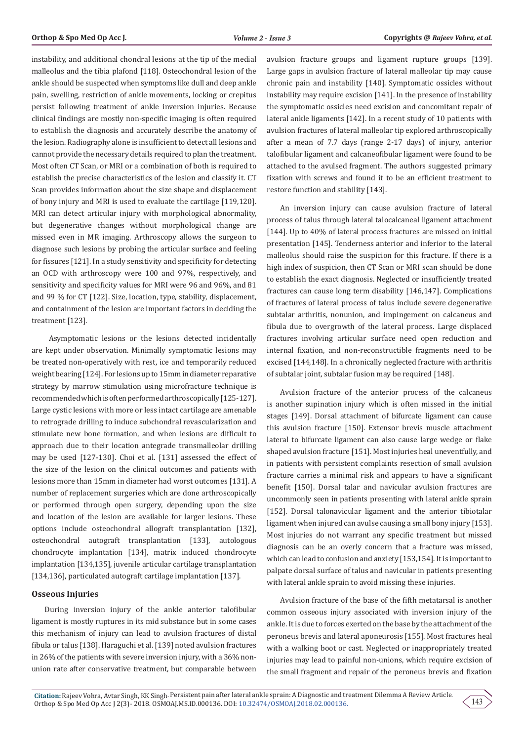instability, and additional chondral lesions at the tip of the medial malleolus and the tibia plafond [118]. Osteochondral lesion of the ankle should be suspected when symptoms like dull and deep ankle pain, swelling, restriction of ankle movements, locking or crepitus persist following treatment of ankle inversion injuries. Because clinical findings are mostly non-specific imaging is often required to establish the diagnosis and accurately describe the anatomy of the lesion. Radiography alone is insufficient to detect all lesions and cannot provide the necessary details required to plan the treatment. Most often CT Scan, or MRI or a combination of both is required to establish the precise characteristics of the lesion and classify it. CT Scan provides information about the size shape and displacement of bony injury and MRI is used to evaluate the cartilage [119,120]. MRI can detect articular injury with morphological abnormality, but degenerative changes without morphological change are missed even in MR imaging. Arthroscopy allows the surgeon to diagnose such lesions by probing the articular surface and feeling for fissures [121]. In a study sensitivity and specificity for detecting an OCD with arthroscopy were 100 and 97%, respectively, and sensitivity and specificity values for MRI were 96 and 96%, and 81 and 99 % for CT [122]. Size, location, type, stability, displacement, and containment of the lesion are important factors in deciding the treatment [123].

 Asymptomatic lesions or the lesions detected incidentally are kept under observation. Minimally symptomatic lesions may be treated non-operatively with rest, ice and temporarily reduced weight bearing [124]. For lesions up to 15mm in diameter reparative strategy by marrow stimulation using microfracture technique is recommended which is often performed arthroscopically [125-127]. Large cystic lesions with more or less intact cartilage are amenable to retrograde drilling to induce subchondral revascularization and stimulate new bone formation, and when lesions are difficult to approach due to their location antegrade transmalleolar drilling may be used [127-130]. Choi et al. [131] assessed the effect of the size of the lesion on the clinical outcomes and patients with lesions more than 15mm in diameter had worst outcomes [131]. A number of replacement surgeries which are done arthroscopically or performed through open surgery, depending upon the size and location of the lesion are available for larger lesions. These options include osteochondral allograft transplantation [132], osteochondral autograft transplantation [133], autologous chondrocyte implantation [134], matrix induced chondrocyte implantation [134,135], juvenile articular cartilage transplantation [134,136], particulated autograft cartilage implantation [137].

#### **Osseous Injuries**

During inversion injury of the ankle anterior talofibular ligament is mostly ruptures in its mid substance but in some cases this mechanism of injury can lead to avulsion fractures of distal fibula or talus [138]. Haraguchi et al. [139] noted avulsion fractures in 26% of the patients with severe inversion injury, with a 36% nonunion rate after conservative treatment, but comparable between

avulsion fracture groups and ligament rupture groups [139]. Large gaps in avulsion fracture of lateral malleolar tip may cause chronic pain and instability [140]. Symptomatic ossicles without instability may require excision [141]. In the presence of instability the symptomatic ossicles need excision and concomitant repair of lateral ankle ligaments [142]. In a recent study of 10 patients with avulsion fractures of lateral malleolar tip explored arthroscopically after a mean of 7.7 days (range 2-17 days) of injury, anterior talofibular ligament and calcaneofibular ligament were found to be attached to the avulsed fragment. The authors suggested primary fixation with screws and found it to be an efficient treatment to restore function and stability [143].

An inversion injury can cause avulsion fracture of lateral process of talus through lateral talocalcaneal ligament attachment [144]. Up to 40% of lateral process fractures are missed on initial presentation [145]. Tenderness anterior and inferior to the lateral malleolus should raise the suspicion for this fracture. If there is a high index of suspicion, then CT Scan or MRI scan should be done to establish the exact diagnosis. Neglected or insufficiently treated fractures can cause long term disability [146,147]. Complications of fractures of lateral process of talus include severe degenerative subtalar arthritis, nonunion, and impingement on calcaneus and fibula due to overgrowth of the lateral process. Large displaced fractures involving articular surface need open reduction and internal fixation, and non-reconstructible fragments need to be excised [144,148]. In a chronically neglected fracture with arthritis of subtalar joint, subtalar fusion may be required [148].

Avulsion fracture of the anterior process of the calcaneus is another supination injury which is often missed in the initial stages [149]. Dorsal attachment of bifurcate ligament can cause this avulsion fracture [150]. Extensor brevis muscle attachment lateral to bifurcate ligament can also cause large wedge or flake shaped avulsion fracture [151]. Most injuries heal uneventfully, and in patients with persistent complaints resection of small avulsion fracture carries a minimal risk and appears to have a significant benefit [150]. Dorsal talar and navicular avulsion fractures are uncommonly seen in patients presenting with lateral ankle sprain [152]. Dorsal talonavicular ligament and the anterior tibiotalar ligament when injured can avulse causing a small bony injury [153]. Most injuries do not warrant any specific treatment but missed diagnosis can be an overly concern that a fracture was missed, which can lead to confusion and anxiety [153,154]. It is important to palpate dorsal surface of talus and navicular in patients presenting with lateral ankle sprain to avoid missing these injuries.

Avulsion fracture of the base of the fifth metatarsal is another common osseous injury associated with inversion injury of the ankle. It is due to forces exerted on the base by the attachment of the peroneus brevis and lateral aponeurosis [155]. Most fractures heal with a walking boot or cast. Neglected or inappropriately treated injuries may lead to painful non-unions, which require excision of the small fragment and repair of the peroneus brevis and fixation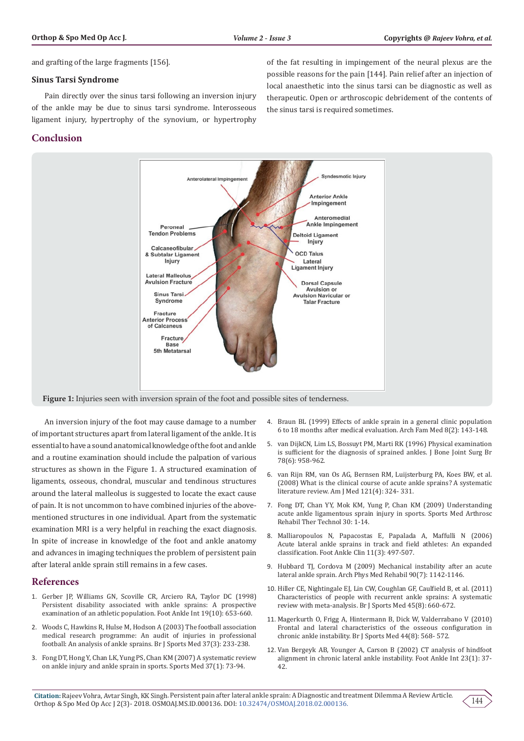and grafting of the large fragments [156].

#### **Sinus Tarsi Syndrome**

Pain directly over the sinus tarsi following an inversion injury of the ankle may be due to sinus tarsi syndrome. Interosseous ligament injury, hypertrophy of the synovium, or hypertrophy

# **Conclusion**

of the fat resulting in impingement of the neural plexus are the possible reasons for the pain [144]. Pain relief after an injection of local anaesthetic into the sinus tarsi can be diagnostic as well as therapeutic. Open or arthroscopic debridement of the contents of the sinus tarsi is required sometimes.



An inversion injury of the foot may cause damage to a number of important structures apart from lateral ligament of the ankle. It is essential to have a sound anatomical knowledge of the foot and ankle and a routine examination should include the palpation of various structures as shown in the Figure 1. A structured examination of ligaments, osseous, chondral, muscular and tendinous structures around the lateral malleolus is suggested to locate the exact cause of pain. It is not uncommon to have combined injuries of the abovementioned structures in one individual. Apart from the systematic examination MRI is a very helpful in reaching the exact diagnosis. In spite of increase in knowledge of the foot and ankle anatomy and advances in imaging techniques the problem of persistent pain after lateral ankle sprain still remains in a few cases.

# **References**

- 1. [Gerber JP, Williams GN, Scoville CR, Arciero RA, Taylor DC \(1998\)](https://www.ncbi.nlm.nih.gov/pubmed/9801078)  [Persistent disability associated with ankle sprains: A prospective](https://www.ncbi.nlm.nih.gov/pubmed/9801078)  [examination of an athletic population. Foot Ankle Int 19\(10\): 653-660.](https://www.ncbi.nlm.nih.gov/pubmed/9801078)
- 2. [Woods C, Hawkins R, Hulse M, Hodson A \(2003\) The football association](https://www.ncbi.nlm.nih.gov/pubmed/12782548)  [medical research programme: An audit of injuries in professional](https://www.ncbi.nlm.nih.gov/pubmed/12782548)  [football: An analysis of ankle sprains. Br J Sports Med 37\(3\): 233-238.](https://www.ncbi.nlm.nih.gov/pubmed/12782548)
- 3. [Fong DT, Hong Y, Chan LK, Yung PS, Chan KM \(2007\) A systematic review](https://www.ncbi.nlm.nih.gov/pubmed/17190537)  [on ankle injury and ankle sprain in sports. Sports Med 37\(1\): 73-94.](https://www.ncbi.nlm.nih.gov/pubmed/17190537)
- 4. [Braun BL \(1999\) Effects of ankle sprain in a general clinic population](https://www.ncbi.nlm.nih.gov/pubmed/10101985) [6 to 18 months after medical evaluation. Arch Fam Med 8\(2\): 143-148.](https://www.ncbi.nlm.nih.gov/pubmed/10101985)
- 5. [van DijkCN, Lim LS, Bossuyt PM, Marti RK \(1996\) Physical examination](https://www.ncbi.nlm.nih.gov/pubmed/8951015) [is sufficient for the diagnosis of sprained ankles. J Bone Joint Surg Br](https://www.ncbi.nlm.nih.gov/pubmed/8951015) [78\(6\): 958-962.](https://www.ncbi.nlm.nih.gov/pubmed/8951015)
- 6. [van Rijn RM, van Os AG, Bernsen RM, Luijsterburg PA, Koes BW, et al.](https://www.ncbi.nlm.nih.gov/pubmed/18374692) [\(2008\) What is the clinical course of acute ankle sprains? A systematic](https://www.ncbi.nlm.nih.gov/pubmed/18374692) [literature review. Am J Med 121\(4\): 324- 331.](https://www.ncbi.nlm.nih.gov/pubmed/18374692)
- 7. [Fong DT, Chan YY, Mok KM, Yung P, Chan KM \(2009\) Understanding](https://www.ncbi.nlm.nih.gov/pubmed/19640309) [acute ankle ligamentous sprain injury in sports. Sports Med Arthrosc](https://www.ncbi.nlm.nih.gov/pubmed/19640309) [Rehabil Ther Technol 30: 1-14.](https://www.ncbi.nlm.nih.gov/pubmed/19640309)
- 8. [Malliaropoulos N, Papacostas E, Papalada A, Maffulli N \(2006\)](https://www.ncbi.nlm.nih.gov/pubmed/16971243) [Acute lateral ankle sprains in track and field athletes: An expanded](https://www.ncbi.nlm.nih.gov/pubmed/16971243) [classification. Foot Ankle Clin 11\(3\): 497-507.](https://www.ncbi.nlm.nih.gov/pubmed/16971243)
- 9. [Hubbard TJ, Cordova M \(2009\) Mechanical instability after an acute](https://www.ncbi.nlm.nih.gov/pubmed/19577027) [lateral ankle sprain. Arch Phys Med Rehabil 90\(7\): 1142-1146.](https://www.ncbi.nlm.nih.gov/pubmed/19577027)
- 10. [Hiller CE, Nightingale EJ, Lin CW, Coughlan GF, Caulfield B, et al. \(2011\)](https://www.ncbi.nlm.nih.gov/pubmed/21257670) [Characteristics of people with recurrent ankle sprains: A systematic](https://www.ncbi.nlm.nih.gov/pubmed/21257670) [review with meta-analysis. Br J Sports Med 45\(8\): 660-672.](https://www.ncbi.nlm.nih.gov/pubmed/21257670)
- 11. [Magerkurth O, Frigg A, Hintermann B, Dick W, Valderrabano V \(2010\)](https://www.ncbi.nlm.nih.gov/pubmed/18603578) [Frontal and lateral characteristics of the osseous configuration in](https://www.ncbi.nlm.nih.gov/pubmed/18603578) [chronic ankle instability. Br J Sports Med 44\(8\): 568- 572.](https://www.ncbi.nlm.nih.gov/pubmed/18603578)
- 12. [Van Bergeyk AB, Younger A, Carson B \(2002\) CT analysis of hindfoot](https://www.ncbi.nlm.nih.gov/pubmed/11822690) [alignment in chronic lateral ankle instability. Foot Ankle Int 23\(1\): 37-](https://www.ncbi.nlm.nih.gov/pubmed/11822690) [42.](https://www.ncbi.nlm.nih.gov/pubmed/11822690)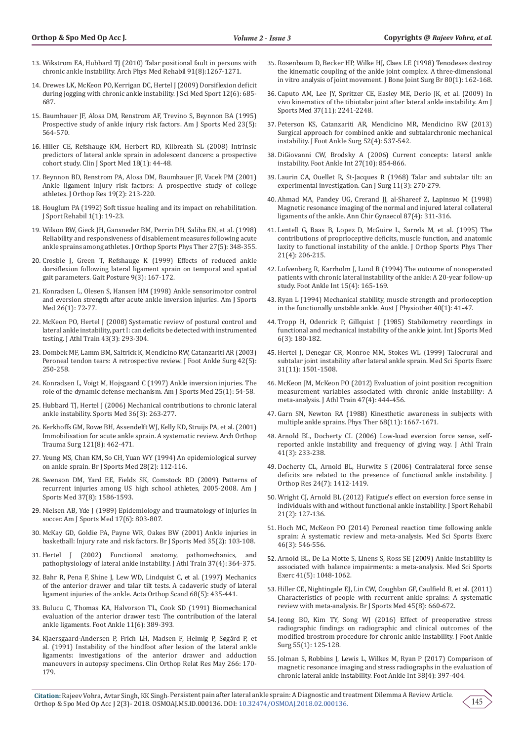- 13. [Wikstrom EA, Hubbard TJ \(2010\) Talar positional fault in persons with](https://www.ncbi.nlm.nih.gov/pubmed/20684909)  [chronic ankle instability. Arch Phys Med Rehabil 91\(8\):1267-1271.](https://www.ncbi.nlm.nih.gov/pubmed/20684909)
- 14. [Drewes LK, McKeon PO, Kerrigan DC, Hertel J \(2009\) Dorsiflexion deficit](https://www.ncbi.nlm.nih.gov/pubmed/18835218)  [during jogging with chronic ankle instability. J Sci Med Sport 12\(6\): 685-](https://www.ncbi.nlm.nih.gov/pubmed/18835218) [687.](https://www.ncbi.nlm.nih.gov/pubmed/18835218)
- 15. [Baumhauer JF, Alosa DM, Renstrom AF, Trevino S, Beynnon BA \(1995\)](https://www.ncbi.nlm.nih.gov/pubmed/8526271)  [Prospective study of ankle injury risk factors. Am J Sports Med 23\(5\):](https://www.ncbi.nlm.nih.gov/pubmed/8526271)  [564-570.](https://www.ncbi.nlm.nih.gov/pubmed/8526271)
- 16. [Hiller CE, Refshauge KM, Herbert RD, Kilbreath SL \(2008\) Intrinsic](https://www.ncbi.nlm.nih.gov/pubmed/18185038)  [predictors of lateral ankle sprain in adolescent dancers: a prospective](https://www.ncbi.nlm.nih.gov/pubmed/18185038)  [cohort study. Clin J Sport Med 18\(1\): 44-48.](https://www.ncbi.nlm.nih.gov/pubmed/18185038)
- 17. [Beynnon BD, Renstrom PA, Alosa DM, Baumhauer JF, Vacek PM \(2001\)](https://www.ncbi.nlm.nih.gov/pubmed/11347693)  [Ankle ligament injury risk factors: A prospective study of college](https://www.ncbi.nlm.nih.gov/pubmed/11347693)  [athletes. J Orthop Res 19\(2\): 213-220.](https://www.ncbi.nlm.nih.gov/pubmed/11347693)
- 18. [Houglum PA \(1992\) Soft tissue healing and its impact on rehabilitation.](https://www.researchgate.net/publication/279556617_Soft_Tissue_Healing_and_its_Impact_on_Rehabilitation)  [J Sport Rehabil 1\(1\): 19-23.](https://www.researchgate.net/publication/279556617_Soft_Tissue_Healing_and_its_Impact_on_Rehabilitation)
- 19. [Wilson RW, Gieck JH, Gansneder BM, Perrin DH, Saliba EN, et al. \(1998\)](https://www.ncbi.nlm.nih.gov/pubmed/9580894)  [Reliability and responsiveness of disablement measures following acute](https://www.ncbi.nlm.nih.gov/pubmed/9580894)  [ankle sprains among athletes. J Orthop Sports Phys Ther 27\(5\): 348-355.](https://www.ncbi.nlm.nih.gov/pubmed/9580894)
- 20. [Crosbie J, Green T, Refshauge K \(1999\) Effects of reduced ankle](https://www.ncbi.nlm.nih.gov/pubmed/10575077)  [dorsiflexion following lateral ligament sprain on temporal and spatial](https://www.ncbi.nlm.nih.gov/pubmed/10575077)  [gait parameters. Gait Posture 9\(3\): 167-172.](https://www.ncbi.nlm.nih.gov/pubmed/10575077)
- 21. [Konradsen L, Olesen S, Hansen HM \(1998\) Ankle sensorimotor control](https://www.ncbi.nlm.nih.gov/pubmed/9474405)  [and eversion strength after acute ankle inversion injuries. Am J Sports](https://www.ncbi.nlm.nih.gov/pubmed/9474405)  [Med 26\(1\): 72-77.](https://www.ncbi.nlm.nih.gov/pubmed/9474405)
- 22. [McKeon PO, Hertel J \(2008\) Systematic review of postural control and](https://www.ncbi.nlm.nih.gov/pmc/articles/PMC2386423/)  [lateral ankle instability, part I: can deficits be detected with instrumented](https://www.ncbi.nlm.nih.gov/pmc/articles/PMC2386423/)  [testing. J Athl Train 43\(3\): 293-304.](https://www.ncbi.nlm.nih.gov/pmc/articles/PMC2386423/)
- 23. [Dombek MF, Lamm BM, Saltrick K, Mendicino RW, Catanzariti AR \(2003\)](https://www.ncbi.nlm.nih.gov/pubmed/14566716)  [Peroneal tendon tears: A retrospective review. J Foot Ankle Surg 42\(5\):](https://www.ncbi.nlm.nih.gov/pubmed/14566716)  [250-258.](https://www.ncbi.nlm.nih.gov/pubmed/14566716)
- 24. [Konradsen L, Voigt M, Hojsgaard C \(1997\) Ankle inversion injuries. The](https://www.ncbi.nlm.nih.gov/pubmed/9006692)  [role of the dynamic defense mechanism. Am J Sports Med 25\(1\): 54-58.](https://www.ncbi.nlm.nih.gov/pubmed/9006692)
- 25. [Hubbard TJ, Hertel J \(2006\) Mechanical contributions to chronic lateral](https://www.ncbi.nlm.nih.gov/pubmed/16526836)  [ankle instability. Sports Med 36\(3\): 263-277.](https://www.ncbi.nlm.nih.gov/pubmed/16526836)
- 26. [Kerkhoffs GM, Rowe BH, Assendelft WJ, Kelly KD, Struijs PA, et al. \(2001\)](https://www.ncbi.nlm.nih.gov/pubmed/11550833)  [Immobilisation for acute ankle sprain. A systematic review. Arch Orthop](https://www.ncbi.nlm.nih.gov/pubmed/11550833)  [Trauma Surg 121\(8\): 462-471.](https://www.ncbi.nlm.nih.gov/pubmed/11550833)
- 27. [Yeung MS, Chan KM, So CH, Yuan WY \(1994\) An epidemiological survey](https://www.ncbi.nlm.nih.gov/pmc/articles/PMC1332043/)  [on ankle sprain. Br J Sports Med 28\(2\): 112-116.](https://www.ncbi.nlm.nih.gov/pmc/articles/PMC1332043/)
- 28. [Swenson DM, Yard EE, Fields SK, Comstock RD \(2009\) Patterns of](https://www.ncbi.nlm.nih.gov/pubmed/19372270)  [recurrent injuries among US high school athletes, 2005-2008. Am J](https://www.ncbi.nlm.nih.gov/pubmed/19372270)  [Sports Med 37\(8\): 1586-1593.](https://www.ncbi.nlm.nih.gov/pubmed/19372270)
- 29. [Nielsen AB, Yde J \(1989\) Epidemiology and traumatology of injuries in](https://www.ncbi.nlm.nih.gov/pubmed/2516415)  [soccer. Am J Sports Med 17\(6\): 803-807.](https://www.ncbi.nlm.nih.gov/pubmed/2516415)
- 30. [McKay GD, Goldie PA, Payne WR, Oakes BW \(2001\) Ankle injuries in](https://www.ncbi.nlm.nih.gov/pmc/articles/PMC1724316/)  [basketball: Injury rate and risk factors. Br J Sports Med 35\(2\): 103-108.](https://www.ncbi.nlm.nih.gov/pmc/articles/PMC1724316/)
- 31. [Hertel J \(2002\) Functional anatomy, pathomechanics, and](https://www.ncbi.nlm.nih.gov/pmc/articles/PMC164367/)  [pathophysiology of lateral ankle instability. J Athl Train 37\(4\): 364-375.](https://www.ncbi.nlm.nih.gov/pmc/articles/PMC164367/)
- 32. [Bahr R, Pena F, Shine J, Lew WD, Lindquist C, et al. \(1997\) Mechanics](https://www.ncbi.nlm.nih.gov/pubmed/9385242)  [of the anterior drawer and talar tilt tests. A cadaveric study of lateral](https://www.ncbi.nlm.nih.gov/pubmed/9385242)  [ligament injuries of the ankle. Acta Orthop Scand 68\(5\): 435-441.](https://www.ncbi.nlm.nih.gov/pubmed/9385242)
- 33. [Bulucu C, Thomas KA, Halvorson TL, Cook SD \(1991\) Biomechanical](https://www.ncbi.nlm.nih.gov/pubmed/1894233)  [evaluation of the anterior drawer test: The contribution of the lateral](https://www.ncbi.nlm.nih.gov/pubmed/1894233)  [ankle ligaments. Foot Ankle 11\(6\): 389-393.](https://www.ncbi.nlm.nih.gov/pubmed/1894233)
- 34. [Kjaersgaard-Andersen P, Frich LH, Madsen F, Helmig P, S](https://www.ncbi.nlm.nih.gov/pubmed/2019047)øgård P, et [al. \(1991\) Instability of the hindfoot after lesion of the lateral ankle](https://www.ncbi.nlm.nih.gov/pubmed/2019047)  [ligaments: investigations of the anterior drawer and adduction](https://www.ncbi.nlm.nih.gov/pubmed/2019047)  [maneuvers in autopsy specimens. Clin Orthop Relat Res May 266: 170-](https://www.ncbi.nlm.nih.gov/pubmed/2019047) [179.](https://www.ncbi.nlm.nih.gov/pubmed/2019047)
- 35. [Rosenbaum D, Becker HP, Wilke HJ, Claes LE \(1998\) Tenodeses destroy](https://www.ncbi.nlm.nih.gov/pubmed/9460975)  [the kinematic coupling of the ankle joint complex. A three-dimensional](https://www.ncbi.nlm.nih.gov/pubmed/9460975)  [in vitro analysis of joint movement. J Bone Joint Surg Br 80\(1\): 162-168.](https://www.ncbi.nlm.nih.gov/pubmed/9460975)
- 36. [Caputo AM, Lee JY, Spritzer CE, Easley ME, Derio JK, et al. \(2009\) In](https://www.ncbi.nlm.nih.gov/pubmed/19622791)  [vivo kinematics of the tibiotalar joint after lateral ankle instability. Am J](https://www.ncbi.nlm.nih.gov/pubmed/19622791)  [Sports Med 37\(11\): 2241-2248.](https://www.ncbi.nlm.nih.gov/pubmed/19622791)
- 37. [Peterson KS, Catanzariti AR, Mendicino MR, Mendicino RW \(2013\)](file:///C:\Users\Welcome\Desktop\Surgical%20approach%20for%20combined%20ankle%20and%20subtalarchronic%20mechanical%20instability)  [Surgical approach for combined ankle and subtalarchronic mechanical](file:///C:\Users\Welcome\Desktop\Surgical%20approach%20for%20combined%20ankle%20and%20subtalarchronic%20mechanical%20instability)  [instability. J Foot Ankle Surg 52\(4\): 537-542.](file:///C:\Users\Welcome\Desktop\Surgical%20approach%20for%20combined%20ankle%20and%20subtalarchronic%20mechanical%20instability)
- 38. [DiGiovanni CW, Brodsky A \(2006\) Current concepts: lateral ankle](https://www.ncbi.nlm.nih.gov/pubmed/17054892)  [instability. Foot Ankle Int 27\(10\): 854-866.](https://www.ncbi.nlm.nih.gov/pubmed/17054892)
- 39. [Laurin CA, Ouellet R, St-Jacques R \(1968\) Talar and subtalar tilt: an](https://www.ncbi.nlm.nih.gov/pubmed/4969206)  [experimental investigation. Can J Surg 11\(3\): 270-279.](https://www.ncbi.nlm.nih.gov/pubmed/4969206)
- 40. [Ahmad MA, Pandey UG, Crerand JJ, al-Shareef Z, Lapinsuo M \(1998\)](https://www.ncbi.nlm.nih.gov/pubmed/9891772)  [Magnetic resonance imaging of the normal and injured lateral collateral](https://www.ncbi.nlm.nih.gov/pubmed/9891772)  [ligaments of the ankle. Ann Chir Gynaecol 87\(4\): 311-316.](https://www.ncbi.nlm.nih.gov/pubmed/9891772)
- 41. [Lentell G, Baas B, Lopez D, McGuire L, Sarrels M, et al. \(1995\) The](https://www.ncbi.nlm.nih.gov/pubmed/7773272)  [contributions of proprioceptive deficits, muscle function, and anatomic](https://www.ncbi.nlm.nih.gov/pubmed/7773272)  [laxity to functional instability of the ankle. J Orthop Sports Phys Ther](https://www.ncbi.nlm.nih.gov/pubmed/7773272)  [21\(4\): 206-215.](https://www.ncbi.nlm.nih.gov/pubmed/7773272)
- 42. [Lofvenberg R, Karrholm J, Lund B \(1994\) The outcome of nonoperated](https://www.ncbi.nlm.nih.gov/pubmed/7951947)  [patients with chronic lateral instability of the ankle: A 20-year follow-up](https://www.ncbi.nlm.nih.gov/pubmed/7951947)  [study. Foot Ankle Int 15\(4\): 165-169.](https://www.ncbi.nlm.nih.gov/pubmed/7951947)
- 43. [Ryan L \(1994\) Mechanical stability, muscle strength and prorioception](https://www.ncbi.nlm.nih.gov/pubmed/25026490)  [in the functionally unstable ankle. Aust J Physiother 40\(1\): 41-47.](https://www.ncbi.nlm.nih.gov/pubmed/25026490)
- 44. [Tropp H, Odenrick P, Gillquist J \(1985\) Stabilometry recordings in](https://www.ncbi.nlm.nih.gov/pubmed/4030196)  [functional and mechanical instability of the ankle joint. Int J Sports Med](https://www.ncbi.nlm.nih.gov/pubmed/4030196)  [6\(3\): 180-182.](https://www.ncbi.nlm.nih.gov/pubmed/4030196)
- 45. [Hertel J, Denegar CR, Monroe MM, Stokes WL \(1999\) Talocrural and](https://www.ncbi.nlm.nih.gov/pubmed/10589849)  [subtalar joint instability after lateral ankle sprain. Med Sci Sports Exerc](https://www.ncbi.nlm.nih.gov/pubmed/10589849)  [31\(11\): 1501-1508.](https://www.ncbi.nlm.nih.gov/pubmed/10589849)
- 46. [McKeon JM, McKeon PO \(2012\) Evaluation of joint position recognition](file:///C:\Users\Welcome\Desktop\McKeon%20JM,%20McKeon%20PO%20(2012)%20Evaluation%20of%20joint%20position%20recognition%20measurement%20variables%20associated%20with%20chronic%20ankle%20instability:%20A%20meta-analysis.%20J%20Athl%20Train%2047(4):%20444-456)  [measurement variables associated with chronic ankle instability: A](file:///C:\Users\Welcome\Desktop\McKeon%20JM,%20McKeon%20PO%20(2012)%20Evaluation%20of%20joint%20position%20recognition%20measurement%20variables%20associated%20with%20chronic%20ankle%20instability:%20A%20meta-analysis.%20J%20Athl%20Train%2047(4):%20444-456)  [meta-analysis. J Athl Train 47\(4\): 444-456.](file:///C:\Users\Welcome\Desktop\McKeon%20JM,%20McKeon%20PO%20(2012)%20Evaluation%20of%20joint%20position%20recognition%20measurement%20variables%20associated%20with%20chronic%20ankle%20instability:%20A%20meta-analysis.%20J%20Athl%20Train%2047(4):%20444-456)
- 47. [Garn SN, Newton RA \(1988\) Kinesthetic awareness in subjects with](https://www.ncbi.nlm.nih.gov/pubmed/3186791)  [multiple ankle sprains. Phys Ther 68\(11\): 1667-1671.](https://www.ncbi.nlm.nih.gov/pubmed/3186791)
- 48. [Arnold BL, Docherty CL \(2006\) Low-load eversion force sense, self](https://www.ncbi.nlm.nih.gov/pmc/articles/PMC1569551/)[reported ankle instability and frequency of giving way. J Athl Train](https://www.ncbi.nlm.nih.gov/pmc/articles/PMC1569551/)  [41\(3\): 233-238.](https://www.ncbi.nlm.nih.gov/pmc/articles/PMC1569551/)
- 49. [Docherty CL, Arnold BL, Hurwitz S \(2006\) Contralateral force sense](https://www.ncbi.nlm.nih.gov/pubmed/16732605)  [deficits are related to the presence of functional ankle instability. J](https://www.ncbi.nlm.nih.gov/pubmed/16732605)  [Orthop Res 24\(7\): 1412-1419.](https://www.ncbi.nlm.nih.gov/pubmed/16732605)
- 50. [Wright CJ, Arnold BL \(2012\) Fatigue's effect on eversion force sense in](https://www.ncbi.nlm.nih.gov/pubmed/22104559)  [individuals with and without functional ankle instability. J Sport Rehabil](https://www.ncbi.nlm.nih.gov/pubmed/22104559)  [21\(2\): 127-136.](https://www.ncbi.nlm.nih.gov/pubmed/22104559)
- 51. [Hoch MC, McKeon PO \(2014\) Peroneal reaction time following ankle](https://www.ncbi.nlm.nih.gov/pubmed/23899892)  [sprain: A systematic review and meta-analysis. Med Sci Sports Exerc](https://www.ncbi.nlm.nih.gov/pubmed/23899892)  [46\(3\): 546-556.](https://www.ncbi.nlm.nih.gov/pubmed/23899892)
- 52. [Arnold BL, De La Motte S, Linens S, Ross SE \(2009\) Ankle instability is](https://www.ncbi.nlm.nih.gov/pubmed/19346982)  [associated with balance impairments: a meta-analysis. Med Sci Sports](https://www.ncbi.nlm.nih.gov/pubmed/19346982)  [Exerc 41\(5\): 1048-1062.](https://www.ncbi.nlm.nih.gov/pubmed/19346982)
- 53. [Hiller CE, Nightingale EJ, Lin CW, Coughlan GF, Caulfield B, et al. \(2011\)](https://www.ncbi.nlm.nih.gov/pubmed/21257670)  [Characteristics of people with recurrent ankle sprains: A systematic](https://www.ncbi.nlm.nih.gov/pubmed/21257670)  [review with meta-analysis. Br J Sports Med 45\(8\): 660-672.](https://www.ncbi.nlm.nih.gov/pubmed/21257670)
- 54. [Jeong BO, Kim TY, Song WJ \(2016\) Effect of preoperative stress](https://www.ncbi.nlm.nih.gov/pubmed/26433870)  [radiographic findings on radiographic and clinical outcomes of the](https://www.ncbi.nlm.nih.gov/pubmed/26433870)  [modified brostrom procedure for chronic ankle instability. J Foot Ankle](https://www.ncbi.nlm.nih.gov/pubmed/26433870)  [Surg 55\(1\): 125-128.](https://www.ncbi.nlm.nih.gov/pubmed/26433870)
- 55. [Jolman S, Robbins J, Lewis L, Wilkes M, Ryan P \(2017\) Comparison of](https://www.ncbi.nlm.nih.gov/pubmed/28061547)  [magnetic resonance imaging and stress radiographs in the evaluation of](https://www.ncbi.nlm.nih.gov/pubmed/28061547)  [chronic lateral ankle instability. Foot Ankle Int 38\(4\): 397-404.](https://www.ncbi.nlm.nih.gov/pubmed/28061547)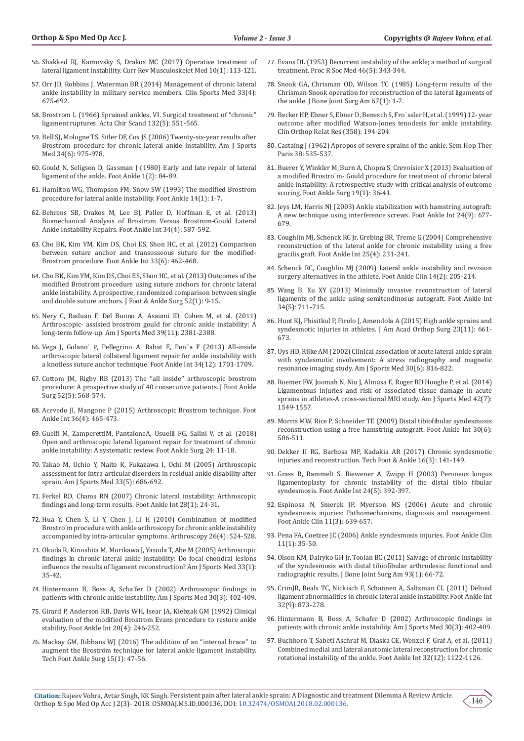- 56. [Shakked RJ, Karnovsky S, Drakos MC \(2017\) Operative treatment of](https://www.ncbi.nlm.nih.gov/pubmed/28110390)  [lateral ligament instability. Curr Rev Musculoskelet Med 10\(1\): 113-121.](https://www.ncbi.nlm.nih.gov/pubmed/28110390)
- 57. [Orr JD, Robbins J, Waterman BR \(2014\) Management of chronic lateral](https://www.ncbi.nlm.nih.gov/pubmed/25280616)  [ankle instability in military service members. Clin Sports Med 33\(4\):](https://www.ncbi.nlm.nih.gov/pubmed/25280616)  [675-692.](https://www.ncbi.nlm.nih.gov/pubmed/25280616)
- 58. [Brostrom L \(1966\) Sprained ankles. VI. Surgical treatment of "chronic"](https://www.ncbi.nlm.nih.gov/pubmed/5339635)  [ligament ruptures. Acta Chir Scand 132\(5\): 551-565.](https://www.ncbi.nlm.nih.gov/pubmed/5339635)
- 59. [Bell SJ, Mologne TS, Sitler DF, Cox JS \(2006\) Twenty-six-year results after](https://www.ncbi.nlm.nih.gov/pubmed/16399935)  [Brostrom procedure for chronic lateral ankle instability. Am J Sports](https://www.ncbi.nlm.nih.gov/pubmed/16399935)  [Med 34\(6\): 975-978.](https://www.ncbi.nlm.nih.gov/pubmed/16399935)
- 60. [Gould N, Seligson D, Gassman J \(1980\) Early and late repair of lateral](https://www.ncbi.nlm.nih.gov/pubmed/7274903)  [ligament of the ankle. Foot Ankle 1\(2\): 84-89.](https://www.ncbi.nlm.nih.gov/pubmed/7274903)
- 61. [Hamilton WG, Thompson FM, Snow SW \(1993\) The modified Brostrom](https://www.ncbi.nlm.nih.gov/pubmed/8425724)  [procedure for lateral ankle instability. Foot Ankle 14\(1\): 1-7.](https://www.ncbi.nlm.nih.gov/pubmed/8425724)
- 62. [Behrens SB, Drakos M, Lee BJ, Paller D, Hoffman E, et al. \(2013\)](https://www.ncbi.nlm.nih.gov/pubmed/23391625)  [Biomechanical Analysis of Brostrom Versus Brostrom-Gould Lateral](https://www.ncbi.nlm.nih.gov/pubmed/23391625)  [Ankle Instability Repairs. Foot Ankle Int 34\(4\): 587-592.](https://www.ncbi.nlm.nih.gov/pubmed/23391625)
- 63. [Cho BK, Kim YM, Kim DS, Choi ES, Shon HC, et al. \(2012\) Comparison](https://www.ncbi.nlm.nih.gov/pubmed/22735317)  [between suture anchor and transosseous suture for the modified-](https://www.ncbi.nlm.nih.gov/pubmed/22735317)[Brostrom procedure. Foot Ankle Int 33\(6\): 462-468.](https://www.ncbi.nlm.nih.gov/pubmed/22735317)
- 64. [Cho BK, Kim YM, Kim DS, Choi ES, Shon HC, et al. \(2013\) Outcomes of the](https://www.ncbi.nlm.nih.gov/pubmed/23164722)  [modified Brostrom procedure using suture anchors for chronic lateral](https://www.ncbi.nlm.nih.gov/pubmed/23164722)  [ankle instability. A prospective, randomized comparison between single](https://www.ncbi.nlm.nih.gov/pubmed/23164722)  [and double suture anchors. J Foot & Ankle Surg 52\(1\): 9-15.](https://www.ncbi.nlm.nih.gov/pubmed/23164722)
- 65. [Nery C, Raduan F, Del Buono A, Asaumi ID, Cohen M, et al. \(2011\)](https://www.ncbi.nlm.nih.gov/pubmed/21803979)  [Arthroscopic- assisted brostrom gould for chronic ankle instability: A](https://www.ncbi.nlm.nih.gov/pubmed/21803979)  [long-term follow-up. Am J Sports Med 39\(11\): 2381-2388.](https://www.ncbi.nlm.nih.gov/pubmed/21803979)
- 66. Vega J, Golano´ P[, Pellegrino A, Rabat E, Pen](https://www.ncbi.nlm.nih.gov/pubmed/23978706)˜a F (2013) All-inside [arthroscopic lateral collateral ligament repair for ankle instability with](https://www.ncbi.nlm.nih.gov/pubmed/23978706)  [a knotless suture anchor technique. Foot Ankle Int 34\(12\): 1701-1709.](https://www.ncbi.nlm.nih.gov/pubmed/23978706)
- 67. [Cottom JM, Rigby RB \(2013\) The ''all inside'' arthroscopic brostrom](https://www.ncbi.nlm.nih.gov/pubmed/23669003)  [procedure: A prospective study of 40 consecutive patients. J Foot Ankle](https://www.ncbi.nlm.nih.gov/pubmed/23669003)  [Surg 52\(5\): 568-574.](https://www.ncbi.nlm.nih.gov/pubmed/23669003)
- 68. [Acevedo JI, Mangone P \(2015\) Arthroscopic Brostrom technique. Foot](https://www.ncbi.nlm.nih.gov/pubmed/25743426)  [Ankle Int 36\(4\): 465-473.](https://www.ncbi.nlm.nih.gov/pubmed/25743426)
- 69. [Guelfi M, ZamperettiM, PantaloneA, Usuelli FG, Salini V, et al. \(2018\)](https://www.ncbi.nlm.nih.gov/pubmed/29413768)  [Open and arthroscopic lateral ligament repair for treatment of chronic](https://www.ncbi.nlm.nih.gov/pubmed/29413768)  [ankle instability: A systematic review. Foot Ankle Surg 24: 11-18.](https://www.ncbi.nlm.nih.gov/pubmed/29413768)
- 70. [Takao M, Uchio Y, Naito K, Fukazawa I, Ochi M \(2005\) Arthroscopic](https://www.ncbi.nlm.nih.gov/pubmed/15722274)  [assessment for intra-articular disorders in residual ankle disability after](https://www.ncbi.nlm.nih.gov/pubmed/15722274)  [sprain. Am J Sports Med 33\(5\): 686-692.](https://www.ncbi.nlm.nih.gov/pubmed/15722274)
- 71. [Ferkel RD, Chams RN \(2007\) Chronic lateral instability: Arthroscopic](https://www.ncbi.nlm.nih.gov/pubmed/17257534)  [findings and long-term results. Foot Ankle Int 28\(1\): 24-31.](https://www.ncbi.nlm.nih.gov/pubmed/17257534)
- 72. [Hua Y, Chen S, Li Y, Chen J, Li H \(2010\) Combination of modified](https://www.ncbi.nlm.nih.gov/pubmed/20362833)  [Brostro¨m procedure with ankle arthroscopy for chronic ankle instability](https://www.ncbi.nlm.nih.gov/pubmed/20362833)  [accompanied by intra-articular symptoms. Arthroscopy 26\(4\): 524-528.](https://www.ncbi.nlm.nih.gov/pubmed/20362833)
- 73. [Okuda R, Kinoshita M, Morikawa J, Yasuda T, Abe M \(2005\) Arthroscopic](https://www.ncbi.nlm.nih.gov/pubmed/15610997)  [findings in chronic lateral ankle instability: Do focal chondral lesions](https://www.ncbi.nlm.nih.gov/pubmed/15610997)  [influence the results of ligament reconstruction? Am J Sports Med 33\(1\):](https://www.ncbi.nlm.nih.gov/pubmed/15610997)  [35-42.](https://www.ncbi.nlm.nih.gov/pubmed/15610997)
- 74. [Hintermann B, Boss A, Scha¨fer D \(2002\) Arthroscopic findings in](https://www.ncbi.nlm.nih.gov/pubmed/12016082)  [patients with chronic ankle instability. Am J Sports Med 30\(3\): 402-409.](https://www.ncbi.nlm.nih.gov/pubmed/12016082)
- 75. [Girard P, Anderson RB, Davis WH, Isear JA, Kiebzak GM \(1992\) Clinical](https://www.ncbi.nlm.nih.gov/pubmed/10229281)  [evaluation of the modified Brostrom Evans procedure to restore ankle](https://www.ncbi.nlm.nih.gov/pubmed/10229281)  [stability. Foot Ankle Int 20\(4\): 246-252.](https://www.ncbi.nlm.nih.gov/pubmed/10229281)
- 76. [Mackay GM, Ribbans WJ \(2016\) The addition of an "internal brace" to](https://www.researchgate.net/publication/306032588_The_Addition_of_an_Internal_Brace_to_Augment_the_Brostrom_Technique_for_Lateral_Ankle_Ligament_Instability)  [augment the Broström technique for lateral ankle ligament instability.](https://www.researchgate.net/publication/306032588_The_Addition_of_an_Internal_Brace_to_Augment_the_Brostrom_Technique_for_Lateral_Ankle_Ligament_Instability)  [Tech Foot Ankle Surg 15\(1\): 47-56.](https://www.researchgate.net/publication/306032588_The_Addition_of_an_Internal_Brace_to_Augment_the_Brostrom_Technique_for_Lateral_Ankle_Ligament_Instability)
- 77. [Evans DL \(1953\) Recurrent instability of the ankle; a method of surgical](https://www.ncbi.nlm.nih.gov/pubmed/13055916) [treatment. Proc R Soc Med 46\(5\): 343-344.](https://www.ncbi.nlm.nih.gov/pubmed/13055916)
- 78. [Snook GA, Chrisman OD, Wilson TC \(1985\) Long-term results of the](https://www.ncbi.nlm.nih.gov/pubmed/3968090) [Chrisman-Snook operation for reconstruction of the lateral ligaments of](https://www.ncbi.nlm.nih.gov/pubmed/3968090) [the ankle. J Bone Joint Surg Am 67\(1\): 1-7.](https://www.ncbi.nlm.nih.gov/pubmed/3968090)
- 79. [Becker HP, Ebner S, Ebner D, Benesch S, Fro](https://www.ncbi.nlm.nih.gov/pubmed/9973992)¨ssler H, et al. (1999) 12- year [outcome after modified Watson-Jones tenodesis for ankle instability.](https://www.ncbi.nlm.nih.gov/pubmed/9973992) [Clin Orthop Relat Res \(358\): 194-204.](https://www.ncbi.nlm.nih.gov/pubmed/9973992)
- 80. Castaing J (1962) Apropos of severe sprains of the ankle. Sem Hop Ther Paris 38: 535-537.
- 81. [Buerer Y, Winkler M, Burn A, Chopra S, Crevoisier X \(2013\) Evaluation of](https://www.ncbi.nlm.nih.gov/pubmed/23337275) [a modified Brostro¨m- Gould procedure for treatment of chronic lateral](https://www.ncbi.nlm.nih.gov/pubmed/23337275) [ankle instability: A retrospective study with critical analysis of outcome](https://www.ncbi.nlm.nih.gov/pubmed/23337275) [scoring. Foot Ankle Surg 19\(1\): 36-41.](https://www.ncbi.nlm.nih.gov/pubmed/23337275)
- 82. [Jeys LM, Harris NJ \(2003\) Ankle stabilization with hamstring autograft:](https://www.ncbi.nlm.nih.gov/pubmed/14524516) [A new technique using interference screws. Foot Ankle Int 24\(9\): 677-](https://www.ncbi.nlm.nih.gov/pubmed/14524516) [679.](https://www.ncbi.nlm.nih.gov/pubmed/14524516)
- 83. [Coughlin MJ, Schenck RC Jr, Grebing BR, Treme G \(2004\) Comprehensive](https://www.ncbi.nlm.nih.gov/pubmed/15132931) [reconstruction of the lateral ankle for chronic instability using a free](https://www.ncbi.nlm.nih.gov/pubmed/15132931) [gracilis graft. Foot Ankle Int 25\(4\): 231-241.](https://www.ncbi.nlm.nih.gov/pubmed/15132931)
- 84. [Schenck RC, Coughlin MJ \(2009\) Lateral ankle instability and revision](https://www.ncbi.nlm.nih.gov/pubmed/19501803) [surgery alternatives in the athlete. Foot Ankle Clin 14\(2\): 205-214.](https://www.ncbi.nlm.nih.gov/pubmed/19501803)
- 85. [Wang B, Xu XY \(2013\) Minimally invasive reconstruction of lateral](https://www.ncbi.nlm.nih.gov/pubmed/23447511) [ligaments of the ankle using semitendinosus autograft. Foot Ankle Int](https://www.ncbi.nlm.nih.gov/pubmed/23447511) [34\(5\): 711-715.](https://www.ncbi.nlm.nih.gov/pubmed/23447511)
- 86. [Hunt KJ, Phisitkul P, Pirolo J, Amendola A \(2015\) High ankle sprains and](https://www.ncbi.nlm.nih.gov/pubmed/26498585) [syndesmotic injuries in athletes. J Am Acad Orthop Surg 23\(11\): 661-](https://www.ncbi.nlm.nih.gov/pubmed/26498585) [673.](https://www.ncbi.nlm.nih.gov/pubmed/26498585)
- 87. [Uys HD, Rijke AM \(2002\) Clinical association of acute lateral ankle sprain](https://www.ncbi.nlm.nih.gov/pubmed/12435647) [with syndesmotic involvement: A stress radiography and magnetic](https://www.ncbi.nlm.nih.gov/pubmed/12435647) [resonance imaging study. Am J Sports Med 30\(6\): 816-822.](https://www.ncbi.nlm.nih.gov/pubmed/12435647)
- 88. [Roemer FW, Joomah N, Niu J, Almusa E, Roger BD Hooghe P, et al. \(2014\)](https://www.ncbi.nlm.nih.gov/pubmed/24753239) [Ligamentous injuries and risk of associated tissue damage in acute](https://www.ncbi.nlm.nih.gov/pubmed/24753239) [sprains in athletes-A cross-sectional MRI study. Am J Sports Med 42\(7\):](https://www.ncbi.nlm.nih.gov/pubmed/24753239) [1549-1557.](https://www.ncbi.nlm.nih.gov/pubmed/24753239)
- 89. [Morris MW, Rice P, Schneider TE \(2009\) Distal tibiofibular syndesmosis](https://www.ncbi.nlm.nih.gov/pubmed/19486627) [reconstruction using a free hamstring autograft. Foot Ankle Int 30\(6\):](https://www.ncbi.nlm.nih.gov/pubmed/19486627) [506-511.](https://www.ncbi.nlm.nih.gov/pubmed/19486627)
- 90. [Dekker II RG, Barbosa MP, Kadakia AR \(2017\) Chronic syndesmotic](https://journals.lww.com/techfootankle/Abstract/2017/09000/Chronic_Syndesmotic_Injuries_and_Reconstruction.8.aspx) [injuries and reconstruction. Tech Foot & Ankle 16\(3\): 141-149.](https://journals.lww.com/techfootankle/Abstract/2017/09000/Chronic_Syndesmotic_Injuries_and_Reconstruction.8.aspx)
- 91. [Grass R, Rammelt S, Biewener A, Zwipp H \(2003\) Peroneus longus](https://www.ncbi.nlm.nih.gov/pubmed/12801194) [ligamentoplasty for chronic instability of the distal tibio fibular](https://www.ncbi.nlm.nih.gov/pubmed/12801194) [syndesmosis. Foot Ankle Int 24\(5\): 392-397.](https://www.ncbi.nlm.nih.gov/pubmed/12801194)
- 92. [Espinosa N, Smerek JP, Myerson MS \(2006\) Acute and chronic](https://www.ncbi.nlm.nih.gov/pubmed/16971254) [syndesmosis injuries: Pathomechanisms, diagnosis and management.](https://www.ncbi.nlm.nih.gov/pubmed/16971254) [Foot Ankle Clin 11\(3\): 639-657.](https://www.ncbi.nlm.nih.gov/pubmed/16971254)
- 93. [Pena FA, Coetzee JC \(2006\) Ankle syndesmosis injuries. Foot Ankle Clin](https://www.ncbi.nlm.nih.gov/pubmed/16564452) [11\(1\): 35-50.](https://www.ncbi.nlm.nih.gov/pubmed/16564452)
- 94. [Olson KM, Dairyko GH Jr, Toolan BC \(2011\) Salvage of chronic instability](https://www.ncbi.nlm.nih.gov/pubmed/21209270) [of the syndesmosis with distal tibiofibular arthrodesis: functional and](https://www.ncbi.nlm.nih.gov/pubmed/21209270) [radiographic results. J Bone Joint Surg Am 93\(1\): 66-72.](https://www.ncbi.nlm.nih.gov/pubmed/21209270)
- 95. [CrimJR, Beals TC, Nickisch F, Schannen A, Saltzman CL \(2011\) Deltoid](https://www.ncbi.nlm.nih.gov/pubmed/22097163) [ligament abnormalities in chronic lateral ankle instability. Foot Ankle Int](https://www.ncbi.nlm.nih.gov/pubmed/22097163) [32\(9\): 873-278.](https://www.ncbi.nlm.nih.gov/pubmed/22097163)
- 96. [Hintermann B, Boss A, Schafer D \(2002\) Arthroscopic findings in](https://www.ncbi.nlm.nih.gov/pubmed/12016082) [patients with chronic ankle instability. Am J Sports Med 30\(3\): 402-409.](https://www.ncbi.nlm.nih.gov/pubmed/12016082)
- 97. [Buchhorn T, Sabeti Aschraf M, Dlaska CE, Wenzel F, Graf A, et al. \(2011\)](https://www.ncbi.nlm.nih.gov/pubmed/22381196) [Combined medial and lateral anatomic lateral reconstruction for chronic](https://www.ncbi.nlm.nih.gov/pubmed/22381196) [rotational instability of the ankle. Foot Ankle Int 32\(12\): 1122-1126.](https://www.ncbi.nlm.nih.gov/pubmed/22381196)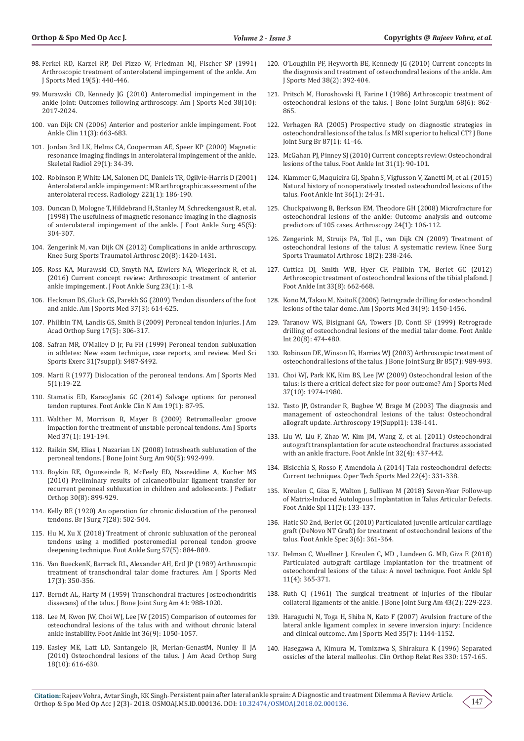- 98. [Ferkel RD, Karzel RP, Del Pizzo W, Friedman MJ, Fischer SP \(1991\)](https://www.ncbi.nlm.nih.gov/pubmed/1962707)  [Arthroscopic treatment of anterolateral impingement of the ankle. Am](https://www.ncbi.nlm.nih.gov/pubmed/1962707)  [J Sports Med 19\(5\): 440-446.](https://www.ncbi.nlm.nih.gov/pubmed/1962707)
- 99. [Murawski CD, Kennedy JG \(2010\) Anteromedial impingement in the](https://www.ncbi.nlm.nih.gov/pubmed/20479141)  [ankle joint: Outcomes following arthroscopy. Am J Sports Med 38\(10\):](https://www.ncbi.nlm.nih.gov/pubmed/20479141)  [2017-2024.](https://www.ncbi.nlm.nih.gov/pubmed/20479141)
- 100. [van Dijk CN \(2006\) Anterior and posterior ankle impingement. Foot](https://www.ncbi.nlm.nih.gov/pubmed/16971256)  [Ankle Clin 11\(3\): 663-683.](https://www.ncbi.nlm.nih.gov/pubmed/16971256)
- 101. [Jordan 3rd LK, Helms CA, Cooperman AE, Speer KP \(2000\) Magnetic](https://www.ncbi.nlm.nih.gov/pubmed/10663587)  [resonance imaging findings in anterolateral impingement of the ankle.](https://www.ncbi.nlm.nih.gov/pubmed/10663587)  [Skeletal Radiol 29\(1\): 34-39.](https://www.ncbi.nlm.nih.gov/pubmed/10663587)
- 102. [Robinson P, White LM, Salonen DC, Daniels TR, Ogilvie-Harris D \(2001\)](https://www.ncbi.nlm.nih.gov/pubmed/11568338)  [Anterolateral ankle impingement: MR arthrographic assessment of the](https://www.ncbi.nlm.nih.gov/pubmed/11568338)  [anterolateral recess. Radiology 221\(1\): 186-190.](https://www.ncbi.nlm.nih.gov/pubmed/11568338)
- 103. [Duncan D, Mologne T, Hildebrand H, Stanley M, Schreckengaust R, et al.](https://www.ncbi.nlm.nih.gov/pubmed/16949527)  [\(1998\) The usefulness of magnetic resonance imaging in the diagnosis](https://www.ncbi.nlm.nih.gov/pubmed/16949527)  [of anterolateral impingement of the ankle. J Foot Ankle Surg 45\(5\):](https://www.ncbi.nlm.nih.gov/pubmed/16949527)  [304-307.](https://www.ncbi.nlm.nih.gov/pubmed/16949527)
- 104. [Zengerink M, van Dijk CN \(2012\) Complications in ankle arthroscopy.](https://www.ncbi.nlm.nih.gov/pmc/articles/PMC3402678/)  [Knee Surg Sports Traumatol Arthrosc 20\(8\): 1420-1431.](https://www.ncbi.nlm.nih.gov/pmc/articles/PMC3402678/)
- 105. [Ross KA, Murawski CD, Smyth NA, IZwiers NA, Wiegerinck R, et al.](https://www.ncbi.nlm.nih.gov/pubmed/28159036)  [\(2016\) Current concept review: Arthroscopic treatment of anterior](https://www.ncbi.nlm.nih.gov/pubmed/28159036)  [ankle impingement. J Foot Ankle Surg 23\(1\): 1-8.](https://www.ncbi.nlm.nih.gov/pubmed/28159036)
- 106. [Heckman DS, Gluck GS, Parekh SG \(2009\) Tendon disorders of the foot](https://journals.lww.com/jaaos/Citation/1993/11000/Tendon_Disorders_of_the_Foot_and_Ankle.3.aspx)  [and ankle. Am J Sports Med 37\(3\): 614-625.](https://journals.lww.com/jaaos/Citation/1993/11000/Tendon_Disorders_of_the_Foot_and_Ankle.3.aspx)
- 107. [Philibin TM, Landis GS, Smith B \(2009\) Peroneal tendon injuries. J Am](https://www.foothealthfacts.org/conditions/peroneal-tendon-injuries)  [Acad Orthop Surg 17\(5\): 306-317.](https://www.foothealthfacts.org/conditions/peroneal-tendon-injuries)
- 108. [Safran MR, O'Malley D Jr, Fu FH \(1999\) Peroneal tendon subluxation](https://www.ncbi.nlm.nih.gov/pubmed/10416549)  [in athletes: New exam technique, case reports, and review. Med Sci](https://www.ncbi.nlm.nih.gov/pubmed/10416549)  [Sports Exerc 31\(7suppl\): S487-S492.](https://www.ncbi.nlm.nih.gov/pubmed/10416549)
- 109. Marti R (1977) Dislocation of the peroneal tendons. Am J Sports Med 5(1):19-22.
- 110. [Stamatis ED, Karaoglanis GC \(2014\) Salvage options for peroneal](https://www.ncbi.nlm.nih.gov/pubmed/24548512)  [tendon ruptures. Foot Ankle Clin N Am 19\(1\): 87-95.](https://www.ncbi.nlm.nih.gov/pubmed/24548512)
- 111. [Walther M, Morrison R, Mayer B \(2009\) Retromalleolar groove](https://www.ncbi.nlm.nih.gov/pubmed/18927253)  [impaction for the treatment of unstable peroneal tendons. Am J Sports](https://www.ncbi.nlm.nih.gov/pubmed/18927253)  [Med 37\(1\): 191-194.](https://www.ncbi.nlm.nih.gov/pubmed/18927253)
- 112. [Raikin SM, Elias I, Nazarian LN \(2008\) Intrasheath subluxation of the](https://www.ncbi.nlm.nih.gov/pubmed/18451390)  [peroneal tendons. J Bone Joint Surg Am 90\(5\): 992-999.](https://www.ncbi.nlm.nih.gov/pubmed/18451390)
- 113. [Boykin RE, Ogunseinde B, McFeely ED, Nasreddine A, Kocher MS](https://www.ncbi.nlm.nih.gov/pubmed/21102220)  [\(2010\) Preliminary results of calcaneofibular ligament transfer for](https://www.ncbi.nlm.nih.gov/pubmed/21102220)  [recurrent peroneal subluxation in children and adolescents. J Pediatr](https://www.ncbi.nlm.nih.gov/pubmed/21102220)  [Orthop 30\(8\): 899-929.](https://www.ncbi.nlm.nih.gov/pubmed/21102220)
- 114. [Kelly RE \(1920\) An operation for chronic dislocation of the peroneal](https://onlinelibrary.wiley.com/doi/abs/10.1002/bjs.1800072808)  [tendons. Br J Surg 7\(28\): 502-504.](https://onlinelibrary.wiley.com/doi/abs/10.1002/bjs.1800072808)
- 115. [Hu M, Xu X \(2018\) Treatment of chronic subluxation of the peroneal](https://www.ncbi.nlm.nih.gov/pubmed/29933904)  [tendons using a modified posteromedial peroneal tendon groove](https://www.ncbi.nlm.nih.gov/pubmed/29933904)  [deepening technique. Foot Ankle Surg 57\(5\): 884-889.](https://www.ncbi.nlm.nih.gov/pubmed/29933904)
- 116. [Van BueckenK, Barrack RL, Alexander AH, Ertl JP \(1989\) Arthroscopic](https://www.ncbi.nlm.nih.gov/pubmed/2729485)  [treatment of transchondral talar dome fractures. Am J Sports Med](https://www.ncbi.nlm.nih.gov/pubmed/2729485)  [17\(3\): 350-356.](https://www.ncbi.nlm.nih.gov/pubmed/2729485)
- 117. [Berndt AL, Harty M \(1959\) Transchondral fractures \(osteochondritis](https://www.ncbi.nlm.nih.gov/pubmed/13849029)  [dissecans\) of the talus. J Bone Joint Surg Am 41: 988-1020.](https://www.ncbi.nlm.nih.gov/pubmed/13849029)
- 118. [Lee M, Kwon JW, Choi WJ, Lee JW \(2015\) Comparison of outcomes for](https://www.ncbi.nlm.nih.gov/pubmed/25869235)  [osteochondral lesions of the talus with and without chronic lateral](https://www.ncbi.nlm.nih.gov/pubmed/25869235)  [ankle instability. Foot Ankle Int 36\(9\): 1050-1057.](https://www.ncbi.nlm.nih.gov/pubmed/25869235)
- 119. [Easley ME, Latt LD, Santangelo JR, Merian-GenastM, Nunley II JA](https://www.orthobullets.com/foot-and-ankle/7034/osteochondral-lesions-of-the-talus)  [\(2010\) Osteochondral lesions of the talus. J Am Acad Orthop Surg](https://www.orthobullets.com/foot-and-ankle/7034/osteochondral-lesions-of-the-talus)  [18\(10\): 616-630.](https://www.orthobullets.com/foot-and-ankle/7034/osteochondral-lesions-of-the-talus)
- 120. [O'Loughlin PF, Heyworth BE, Kennedy JG \(2010\) Current concepts in](https://www.ncbi.nlm.nih.gov/pubmed/19561175) [the diagnosis and treatment of osteochondral lesions of the ankle. Am](https://www.ncbi.nlm.nih.gov/pubmed/19561175) [J Sports Med 38\(2\): 392-404.](https://www.ncbi.nlm.nih.gov/pubmed/19561175)
- 121. [Pritsch M, Horoshovski H, Farine I \(1986\) Arthroscopic treatment of](https://www.ncbi.nlm.nih.gov/pubmed/3733774) [osteochondral lesions of the talus. J Bone Joint SurgAm 68\(6\): 862-](https://www.ncbi.nlm.nih.gov/pubmed/3733774) [865.](https://www.ncbi.nlm.nih.gov/pubmed/3733774)
- 122. [Verhagen RA \(2005\) Prospective study on diagnostic strategies in](https://www.ncbi.nlm.nih.gov/pubmed/15686236) [osteochondral lesions of the talus. Is MRI superior to helical CT? J Bone](https://www.ncbi.nlm.nih.gov/pubmed/15686236) [Joint Surg Br 87\(1\): 41-46.](https://www.ncbi.nlm.nih.gov/pubmed/15686236)
- 123. [McGahan PJ, Pinney SJ \(2010\) Current concepts review: Osteochondral](https://www.ncbi.nlm.nih.gov/pubmed/20067729) [lesions of the talus. Foot Ankle Int 31\(1\): 90-101.](https://www.ncbi.nlm.nih.gov/pubmed/20067729)
- 124. [Klammer G, Maquieira GJ, Spahn S, Vigfusson V, Zanetti M, et al. \(2015\)](https://www.ncbi.nlm.nih.gov/pubmed/25288330) [Natural history of nonoperatively treated osteochondral lesions of the](https://www.ncbi.nlm.nih.gov/pubmed/25288330) [talus. Foot Ankle Int 36\(1\): 24-31.](https://www.ncbi.nlm.nih.gov/pubmed/25288330)
- 125. [Chuckpaiwong B, Berkson EM, Theodore GH \(2008\) Microfracture for](https://www.ncbi.nlm.nih.gov/pubmed/18182210) [osteochondral lesions of the ankle: Outcome analysis and outcome](https://www.ncbi.nlm.nih.gov/pubmed/18182210) [predictors of 105 cases. Arthroscopy 24\(1\): 106-112.](https://www.ncbi.nlm.nih.gov/pubmed/18182210)
- 126. [Zengerink M, Struijs PA, Tol JL, van Dijk CN \(2009\) Treatment of](https://www.ncbi.nlm.nih.gov/pubmed/19859695) [osteochondral lesions of the talus: A systematic review. Knee Surg](https://www.ncbi.nlm.nih.gov/pubmed/19859695) [Sports Traumatol Arthrosc 18\(2\): 238-246.](https://www.ncbi.nlm.nih.gov/pubmed/19859695)
- 127. [Cuttica DJ, Smith WB, Hyer CF, Philbin TM, Berlet GC \(2012\)](https://www.ncbi.nlm.nih.gov/pubmed/22995234) [Arthroscopic treatment of osteochondral lesions of the tibial plafond. J](https://www.ncbi.nlm.nih.gov/pubmed/22995234) [Foot Ankle Int 33\(8\): 662-668.](https://www.ncbi.nlm.nih.gov/pubmed/22995234)
- 128. [Kono M, Takao M, NaitoK \(2006\) Retrograde drilling for osteochondral](https://www.ncbi.nlm.nih.gov/pubmed/16636347) [lesions of the talar dome. Am J Sports Med 34\(9\): 1450-1456.](https://www.ncbi.nlm.nih.gov/pubmed/16636347)
- 129. [Taranow WS, Bisignani GA, Towers JD, Conti SF \(1999\) Retrograde](https://www.ncbi.nlm.nih.gov/pubmed/10473056) [drilling of osteochondral lesions of the medial talar dome. Foot Ankle](https://www.ncbi.nlm.nih.gov/pubmed/10473056) [Int 20\(8\): 474-480.](https://www.ncbi.nlm.nih.gov/pubmed/10473056)
- 130. [Robinson DE, Winson IG, Harries WJ \(2003\) Arthroscopic treatment of](https://www.ncbi.nlm.nih.gov/pubmed/14516033) [osteochondral lesions of the talus. J Bone Joint Surg Br 85\(7\): 989-993.](https://www.ncbi.nlm.nih.gov/pubmed/14516033)
- 131. [Choi WJ, Park KK, Kim BS, Lee JW \(2009\) Osteochondral lesion of the](https://www.ncbi.nlm.nih.gov/pubmed/19654429) [talus: is there a critical defect size for poor outcome? Am J Sports Med](https://www.ncbi.nlm.nih.gov/pubmed/19654429) [37\(10\): 1974-1980.](https://www.ncbi.nlm.nih.gov/pubmed/19654429)
- 132. [Tasto JP, Ostrander R, Bugbee W, Brage M \(2003\) The diagnosis and](https://www.ncbi.nlm.nih.gov/pubmed/14673433) [management of osteochondral lesions of the talus: Osteochondral](https://www.ncbi.nlm.nih.gov/pubmed/14673433) [allograft update. Arthroscopy 19\(Suppl1\): 138-141.](https://www.ncbi.nlm.nih.gov/pubmed/14673433)
- 133. [Liu W, Liu F, Zhao W, Kim JM, Wang Z, et al. \(2011\) Osteochondral](https://www.ncbi.nlm.nih.gov/pubmed/21733449) [autograft transplantation for acute osteochondral fractures associated](https://www.ncbi.nlm.nih.gov/pubmed/21733449) [with an ankle fracture. Foot Ankle Int 32\(4\): 437-442.](https://www.ncbi.nlm.nih.gov/pubmed/21733449)
- 134. [Bisicchia S, Rosso F, Amendola A \(2014\) Tala rosteochondral defects:](https://www.sciencedirect.com/science/article/pii/S1060187214000987) [Current techniques. Oper Tech Sports Med 22\(4\): 331-338.](https://www.sciencedirect.com/science/article/pii/S1060187214000987)
- 135. [Kreulen C, Giza E, Walton J, Sullivan M \(2018\) Seven-Year Follow-up](https://www.ncbi.nlm.nih.gov/pubmed/28587484) [of Matrix-Induced Autologous Implantation in Talus Articular Defects.](https://www.ncbi.nlm.nih.gov/pubmed/28587484) [Foot Ankle Spl 11\(2\): 133-137.](https://www.ncbi.nlm.nih.gov/pubmed/28587484)
- 136. [Hatic SO 2nd, Berlet GC \(2010\) Particulated juvenile articular cartilage](https://www.ncbi.nlm.nih.gov/pubmed/21148470) [graft \(DeNovo NT Graft\) for treatment of osteochondral lesions of the](https://www.ncbi.nlm.nih.gov/pubmed/21148470) [talus. Foot Ankle Spec 3\(6\): 361-364.](https://www.ncbi.nlm.nih.gov/pubmed/21148470)
- 137. [Delman C, Wuellner J, Kreulen C, MD , Lundeen G. MD, Giza E \(2018\)](https://www.ncbi.nlm.nih.gov/pubmed/29681160) [Particulated autograft cartilage Implantation for the treatment of](https://www.ncbi.nlm.nih.gov/pubmed/29681160) [osteochondral lesions of the talus: A novel technique. Foot Ankle Spl](https://www.ncbi.nlm.nih.gov/pubmed/29681160) [11\(4\): 365-371.](https://www.ncbi.nlm.nih.gov/pubmed/29681160)
- 138. [Ruth CJ \(1961\) The surgical treatment of injuries of the fibular](https://journals.lww.com/jbjsjournal/Abstract/1961/43020/The_Surgical_Treatment_of_Injuries_of_the_Fibular.11.aspx) [collateral ligaments of the ankle. J Bone Joint Surg Am 43\(2\): 229-223.](https://journals.lww.com/jbjsjournal/Abstract/1961/43020/The_Surgical_Treatment_of_Injuries_of_the_Fibular.11.aspx)
- 139. [Haraguchi N, Toga H, Shiba N, Kato F \(2007\) Avulsion fracture of the](https://www.ncbi.nlm.nih.gov/pubmed/17379919) [lateral ankle ligament complex in severe inversion injury: Incidence](https://www.ncbi.nlm.nih.gov/pubmed/17379919) [and clinical outcome. Am J Sports Med 35\(7\): 1144-1152.](https://www.ncbi.nlm.nih.gov/pubmed/17379919)
- 140. [Hasegawa A, Kimura M, Tomizawa S, Shirakura K \(1996\) Separated](https://www.ncbi.nlm.nih.gov/pubmed/8804286) [ossicles of the lateral malleolus. Clin Orthop Relat Res 330: 157-165.](https://www.ncbi.nlm.nih.gov/pubmed/8804286)